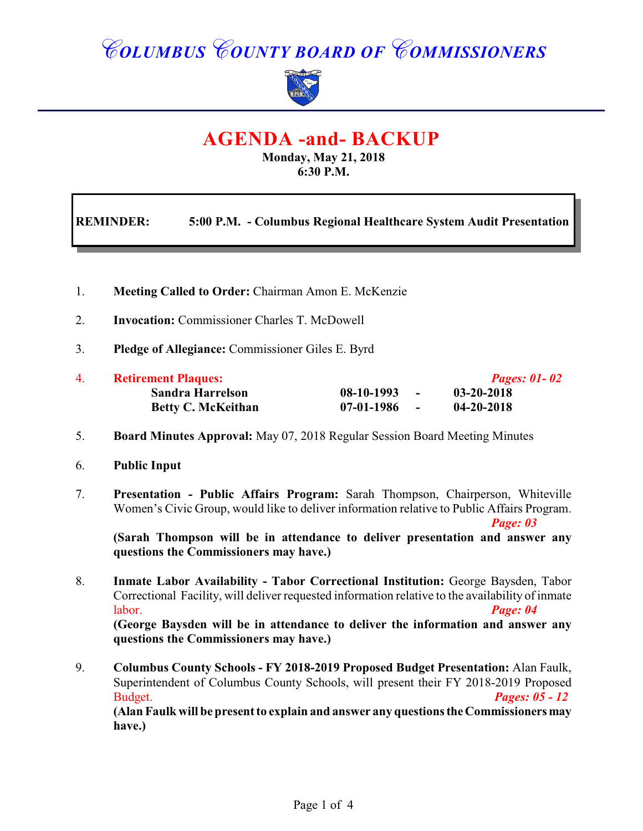# *COLUMBUS COUNTY BOARD OF COMMISSIONERS*



# **AGENDA -and- BACKUP**

**Monday, May 21, 2018 6:30 P.M.**

| <b>REMINDER:</b> | 5:00 P.M. - Columbus Regional Healthcare System Audit Presentation |
|------------------|--------------------------------------------------------------------|
|                  |                                                                    |

- 1. **Meeting Called to Order:** Chairman Amon E. McKenzie
- 2. **Invocation:** Commissioner Charles T. McDowell
- 3. **Pledge of Allegiance:** Commissioner Giles E. Byrd

| 4. | <b>Retirement Plaques:</b> | <b>Pages: 01 - 02</b>  |                  |
|----|----------------------------|------------------------|------------------|
|    | <b>Sandra Harrelson</b>    | 08-10-1993<br>$\sim$   | 03-20-2018       |
|    | <b>Betty C. McKeithan</b>  | $07-01-1986$<br>$\sim$ | $04 - 20 - 2018$ |

- 5. **Board Minutes Approval:** May 07, 2018 Regular Session Board Meeting Minutes
- 6. **Public Input**
- 7. **Presentation Public Affairs Program:** Sarah Thompson, Chairperson, Whiteville Women's Civic Group, would like to deliver information relative to Public Affairs Program. *Page: 03*

**(Sarah Thompson will be in attendance to deliver presentation and answer any questions the Commissioners may have.)**

- 8. **Inmate Labor Availability Tabor Correctional Institution:** George Baysden, Tabor Correctional Facility, will deliver requested information relative to the availability of inmate labor. *Page: 04* **(George Baysden will be in attendance to deliver the information and answer any questions the Commissioners may have.)**
- 9. **Columbus County Schools FY 2018-2019 Proposed Budget Presentation:** Alan Faulk, Superintendent of Columbus County Schools, will present their FY 2018-2019 Proposed Budget. *Pages: 05 - 12*

**(Alan Faulk will be present to explain and answer any questions the Commissioners may have.)**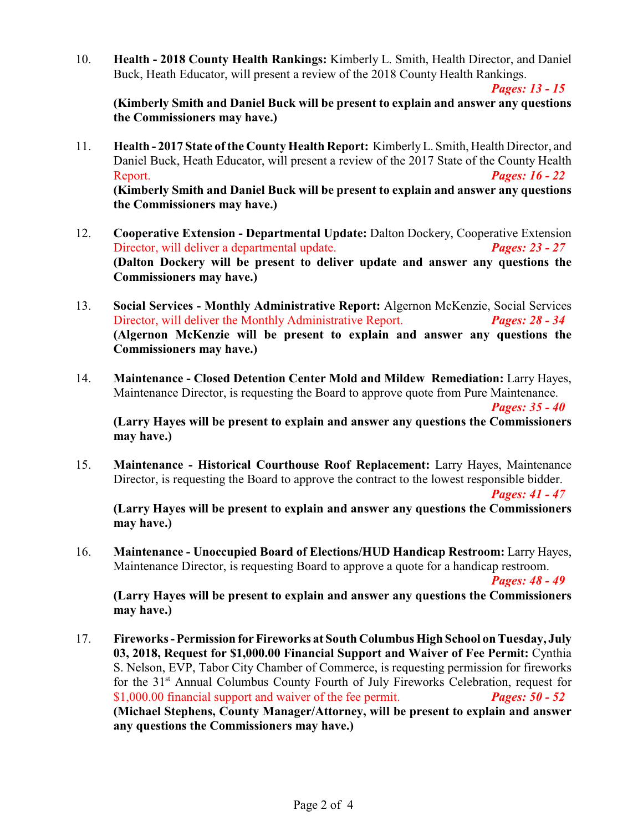10. **Health - 2018 County Health Rankings:** Kimberly L. Smith, Health Director, and Daniel Buck, Heath Educator, will present a review of the 2018 County Health Rankings.

*Pages: 13 - 15*

**(Kimberly Smith and Daniel Buck will be present to explain and answer any questions the Commissioners may have.)**

- 11. **Health 2017 State of the County Health Report:** KimberlyL. Smith, Health Director, and Daniel Buck, Heath Educator, will present a review of the 2017 State of the County Health Report. *Pages: 16 - 22* **(Kimberly Smith and Daniel Buck will be present to explain and answer any questions the Commissioners may have.)**
- 12. **Cooperative Extension Departmental Update:** Dalton Dockery, Cooperative Extension Director, will deliver a departmental update. *Pages: 23 - 27* **(Dalton Dockery will be present to deliver update and answer any questions the Commissioners may have.)**
- 13. **Social Services Monthly Administrative Report:** Algernon McKenzie, Social Services Director, will deliver the Monthly Administrative Report. *Pages: 28 - 34* **(Algernon McKenzie will be present to explain and answer any questions the Commissioners may have.)**
- 14. **Maintenance Closed Detention Center Mold and Mildew Remediation:** Larry Hayes, Maintenance Director, is requesting the Board to approve quote from Pure Maintenance. *Pages: 35 - 40*

**(Larry Hayes will be present to explain and answer any questions the Commissioners may have.)**

15. **Maintenance - Historical Courthouse Roof Replacement:** Larry Hayes, Maintenance Director, is requesting the Board to approve the contract to the lowest responsible bidder.

*Pages: 41 - 47*

**(Larry Hayes will be present to explain and answer any questions the Commissioners may have.)**

16. **Maintenance - Unoccupied Board of Elections/HUD Handicap Restroom:** Larry Hayes, Maintenance Director, is requesting Board to approve a quote for a handicap restroom.

*Pages: 48 - 49*

**(Larry Hayes will be present to explain and answer any questions the Commissioners may have.)**

17. **Fireworks - Permission for Fireworks at South Columbus High School on Tuesday, July 03, 2018, Request for \$1,000.00 Financial Support and Waiver of Fee Permit:** Cynthia S. Nelson, EVP, Tabor City Chamber of Commerce, is requesting permission for fireworks for the  $31<sup>st</sup>$  Annual Columbus County Fourth of July Fireworks Celebration, request for \$1,000.00 financial support and waiver of the fee permit. *Pages: 50 - 52* **(Michael Stephens, County Manager/Attorney, will be present to explain and answer any questions the Commissioners may have.)**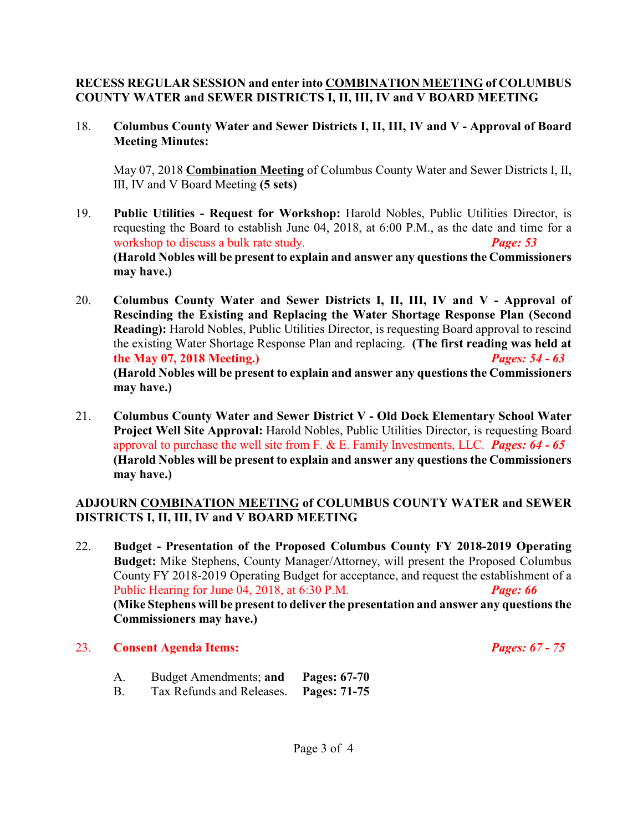#### **RECESS REGULAR SESSION and enter into COMBINATION MEETING of COLUMBUS COUNTY WATER and SEWER DISTRICTS I, II, III, IV and V BOARD MEETING**

18. **Columbus County Water and Sewer Districts I, II, III, IV and V - Approval of Board Meeting Minutes:**

May 07, 2018 **Combination Meeting** of Columbus County Water and Sewer Districts I, II, III, IV and V Board Meeting **(5 sets)**

- 19. **Public Utilities Request for Workshop:** Harold Nobles, Public Utilities Director, is requesting the Board to establish June 04, 2018, at 6:00 P.M., as the date and time for a workshop to discuss a bulk rate study. *Page: 53*  **(Harold Nobles will be present to explain and answer any questions the Commissioners may have.)**
- 20. **Columbus County Water and Sewer Districts I, II, III, IV and V Approval of Rescinding the Existing and Replacing the Water Shortage Response Plan (Second Reading):** Harold Nobles, Public Utilities Director, is requesting Board approval to rescind the existing Water Shortage Response Plan and replacing. **(The first reading was held at the May 07, 2018 Meeting.)** *Pages: 54 - 63* **(Harold Nobles will be present to explain and answer any questions the Commissioners may have.)**
- 21. **Columbus County Water and Sewer District V Old Dock Elementary School Water Project Well Site Approval:** Harold Nobles, Public Utilities Director, is requesting Board approval to purchase the well site from F. & E. Family Investments, LLC. *Pages: 64 - 65* **(Harold Nobles will be present to explain and answer any questions the Commissioners may have.)**

#### **ADJOURN COMBINATION MEETING of COLUMBUS COUNTY WATER and SEWER DISTRICTS I, II, III, IV and V BOARD MEETING**

22. **Budget - Presentation of the Proposed Columbus County FY 2018-2019 Operating Budget:** Mike Stephens, County Manager/Attorney, will present the Proposed Columbus County FY 2018-2019 Operating Budget for acceptance, and request the establishment of a Public Hearing for June 04, 2018, at 6:30 P.M. *Page: 66* **(Mike Stephens will be present to deliver the presentation and answer any questions the Commissioners may have.)**

#### 23. **Consent Agenda Items:** *Pages: 67 - 75*

- A. Budget Amendments; **and Pages: 67-70**
- B. Tax Refunds and Releases. **Pages: 71-75**